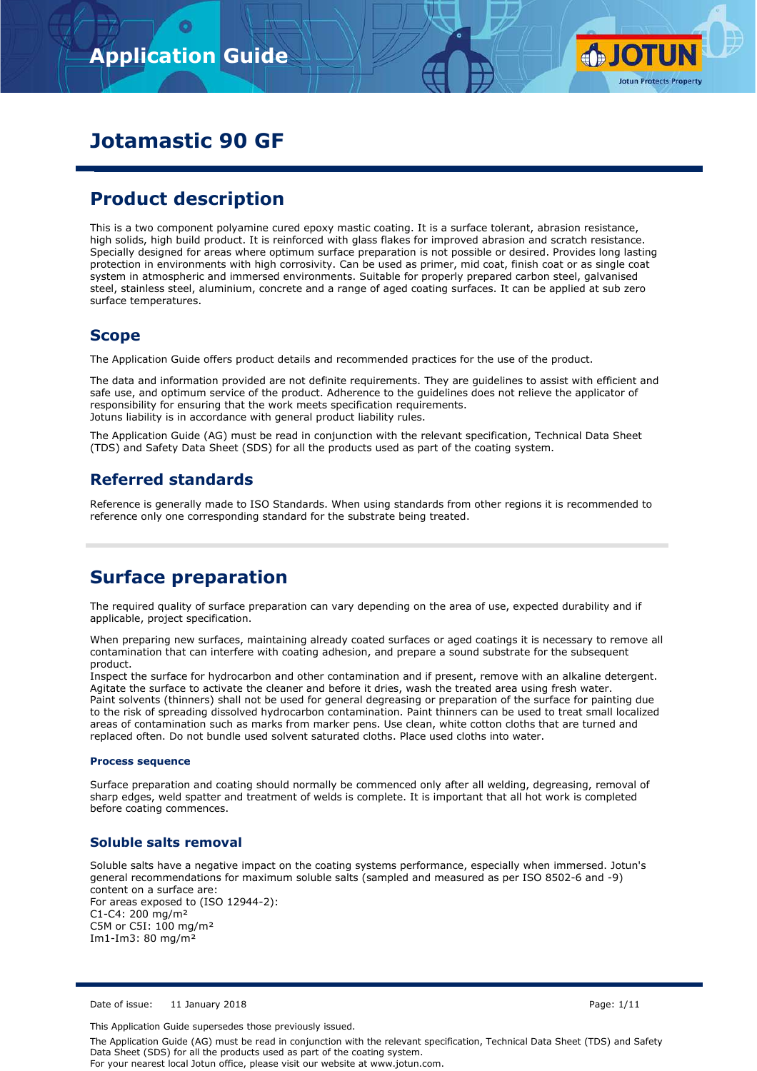

# **Jotamastic 90 GF**

# **Product description**

This is a two component polyamine cured epoxy mastic coating. It is a surface tolerant, abrasion resistance, high solids, high build product. It is reinforced with glass flakes for improved abrasion and scratch resistance. Specially designed for areas where optimum surface preparation is not possible or desired. Provides long lasting protection in environments with high corrosivity. Can be used as primer, mid coat, finish coat or as single coat system in atmospheric and immersed environments. Suitable for properly prepared carbon steel, galvanised steel, stainless steel, aluminium, concrete and a range of aged coating surfaces. It can be applied at sub zero surface temperatures.

## **Scope**

The Application Guide offers product details and recommended practices for the use of the product.

The data and information provided are not definite requirements. They are guidelines to assist with efficient and safe use, and optimum service of the product. Adherence to the guidelines does not relieve the applicator of responsibility for ensuring that the work meets specification requirements. Jotuns liability is in accordance with general product liability rules.

The Application Guide (AG) must be read in conjunction with the relevant specification, Technical Data Sheet (TDS) and Safety Data Sheet (SDS) for all the products used as part of the coating system.

## **Referred standards**

Reference is generally made to ISO Standards. When using standards from other regions it is recommended to reference only one corresponding standard for the substrate being treated.

## **Surface preparation**

The required quality of surface preparation can vary depending on the area of use, expected durability and if applicable, project specification.

When preparing new surfaces, maintaining already coated surfaces or aged coatings it is necessary to remove all contamination that can interfere with coating adhesion, and prepare a sound substrate for the subsequent product.

Inspect the surface for hydrocarbon and other contamination and if present, remove with an alkaline detergent. Agitate the surface to activate the cleaner and before it dries, wash the treated area using fresh water. Paint solvents (thinners) shall not be used for general degreasing or preparation of the surface for painting due to the risk of spreading dissolved hydrocarbon contamination. Paint thinners can be used to treat small localized areas of contamination such as marks from marker pens. Use clean, white cotton cloths that are turned and replaced often. Do not bundle used solvent saturated cloths. Place used cloths into water.

#### **Process sequence**

Surface preparation and coating should normally be commenced only after all welding, degreasing, removal of sharp edges, weld spatter and treatment of welds is complete. It is important that all hot work is completed before coating commences.

## **Soluble salts removal**

Soluble salts have a negative impact on the coating systems performance, especially when immersed. Jotun's general recommendations for maximum soluble salts (sampled and measured as per ISO 8502-6 and -9) content on a surface are: For areas exposed to (ISO 12944-2): C1-C4: 200 mg/m² C5M or C5I: 100 mg/m² Im1-Im3: 80 mg/m²

Date of issue: 11 January 2018 Page: 1/11

This Application Guide supersedes those previously issued.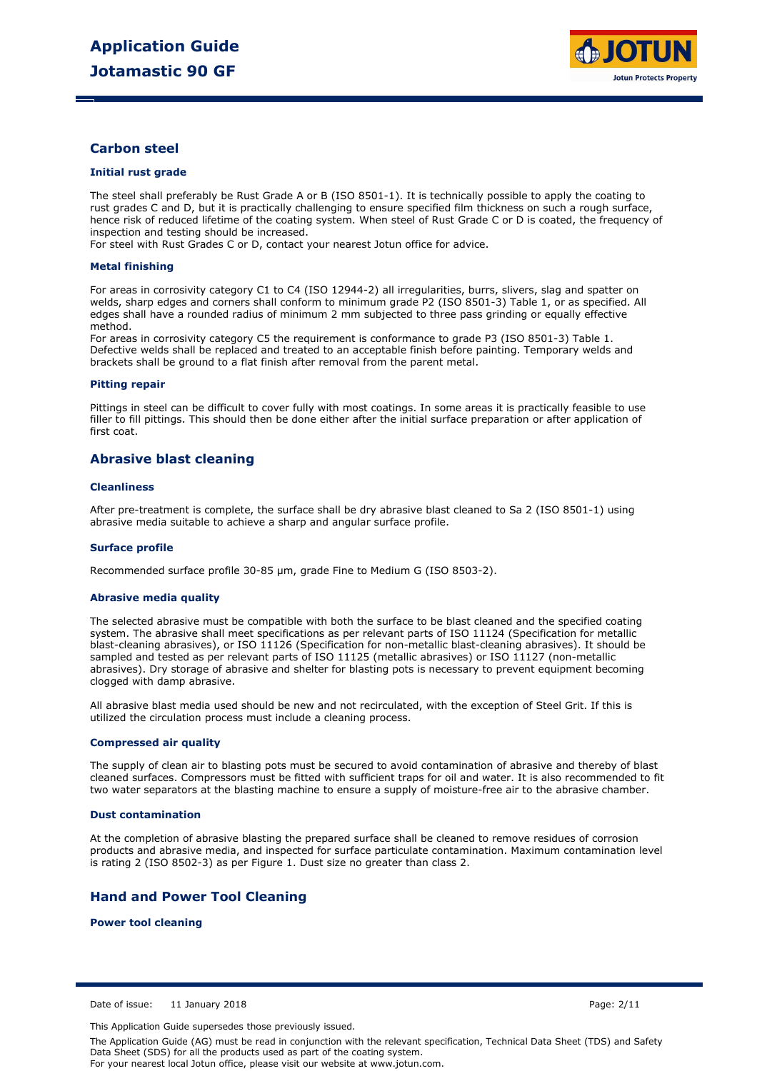

## **Carbon steel**

#### **Initial rust grade**

The steel shall preferably be Rust Grade A or B (ISO 8501-1). It is technically possible to apply the coating to rust grades C and D, but it is practically challenging to ensure specified film thickness on such a rough surface, hence risk of reduced lifetime of the coating system. When steel of Rust Grade C or D is coated, the frequency of inspection and testing should be increased.

For steel with Rust Grades C or D, contact your nearest Jotun office for advice.

#### **Metal finishing**

For areas in corrosivity category C1 to C4 (ISO 12944-2) all irregularities, burrs, slivers, slag and spatter on welds, sharp edges and corners shall conform to minimum grade P2 (ISO 8501-3) Table 1, or as specified. All edges shall have a rounded radius of minimum 2 mm subjected to three pass grinding or equally effective method.

For areas in corrosivity category C5 the requirement is conformance to grade P3 (ISO 8501-3) Table 1. Defective welds shall be replaced and treated to an acceptable finish before painting. Temporary welds and brackets shall be ground to a flat finish after removal from the parent metal.

#### **Pitting repair**

Pittings in steel can be difficult to cover fully with most coatings. In some areas it is practically feasible to use filler to fill pittings. This should then be done either after the initial surface preparation or after application of first coat.

### **Abrasive blast cleaning**

#### **Cleanliness**

After pre-treatment is complete, the surface shall be dry abrasive blast cleaned to Sa 2 (ISO 8501-1) using abrasive media suitable to achieve a sharp and angular surface profile.

#### **Surface profile**

Recommended surface profile 30-85 µm, grade Fine to Medium G (ISO 8503-2).

#### **Abrasive media quality**

The selected abrasive must be compatible with both the surface to be blast cleaned and the specified coating system. The abrasive shall meet specifications as per relevant parts of ISO 11124 (Specification for metallic blast-cleaning abrasives), or ISO 11126 (Specification for non-metallic blast-cleaning abrasives). It should be sampled and tested as per relevant parts of ISO 11125 (metallic abrasives) or ISO 11127 (non-metallic abrasives). Dry storage of abrasive and shelter for blasting pots is necessary to prevent equipment becoming clogged with damp abrasive.

All abrasive blast media used should be new and not recirculated, with the exception of Steel Grit. If this is utilized the circulation process must include a cleaning process.

#### **Compressed air quality**

The supply of clean air to blasting pots must be secured to avoid contamination of abrasive and thereby of blast cleaned surfaces. Compressors must be fitted with sufficient traps for oil and water. It is also recommended to fit two water separators at the blasting machine to ensure a supply of moisture-free air to the abrasive chamber.

#### **Dust contamination**

At the completion of abrasive blasting the prepared surface shall be cleaned to remove residues of corrosion products and abrasive media, and inspected for surface particulate contamination. Maximum contamination level is rating 2 (ISO 8502-3) as per Figure 1. Dust size no greater than class 2.

### **Hand and Power Tool Cleaning**

**Power tool cleaning**

Date of issue: 11 January 2018 Page: 2/11

This Application Guide supersedes those previously issued.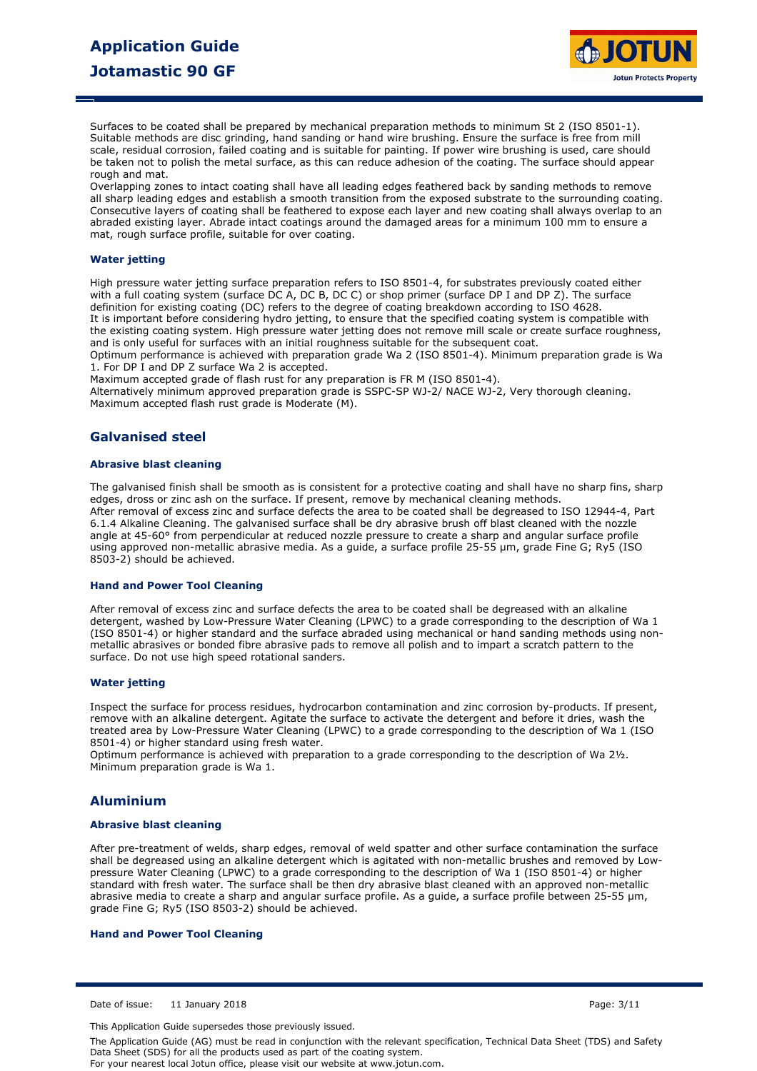

Surfaces to be coated shall be prepared by mechanical preparation methods to minimum St 2 (ISO 8501-1). Suitable methods are disc grinding, hand sanding or hand wire brushing. Ensure the surface is free from mill scale, residual corrosion, failed coating and is suitable for painting. If power wire brushing is used, care should be taken not to polish the metal surface, as this can reduce adhesion of the coating. The surface should appear rough and mat.

Overlapping zones to intact coating shall have all leading edges feathered back by sanding methods to remove all sharp leading edges and establish a smooth transition from the exposed substrate to the surrounding coating. Consecutive layers of coating shall be feathered to expose each layer and new coating shall always overlap to an abraded existing layer. Abrade intact coatings around the damaged areas for a minimum 100 mm to ensure a mat, rough surface profile, suitable for over coating.

#### **Water jetting**

High pressure water jetting surface preparation refers to ISO 8501-4, for substrates previously coated either with a full coating system (surface DC A, DC B, DC C) or shop primer (surface DP I and DP Z). The surface definition for existing coating (DC) refers to the degree of coating breakdown according to ISO 4628. It is important before considering hydro jetting, to ensure that the specified coating system is compatible with the existing coating system. High pressure water jetting does not remove mill scale or create surface roughness, and is only useful for surfaces with an initial roughness suitable for the subsequent coat.

Optimum performance is achieved with preparation grade Wa 2 (ISO 8501-4). Minimum preparation grade is Wa 1. For DP I and DP Z surface Wa 2 is accepted.

Maximum accepted grade of flash rust for any preparation is FR M (ISO 8501-4).

Alternatively minimum approved preparation grade is SSPC-SP WJ-2/ NACE WJ-2, Very thorough cleaning. Maximum accepted flash rust grade is Moderate (M).

### **Galvanised steel**

#### **Abrasive blast cleaning**

The galvanised finish shall be smooth as is consistent for a protective coating and shall have no sharp fins, sharp edges, dross or zinc ash on the surface. If present, remove by mechanical cleaning methods. After removal of excess zinc and surface defects the area to be coated shall be degreased to ISO 12944-4, Part 6.1.4 Alkaline Cleaning. The galvanised surface shall be dry abrasive brush off blast cleaned with the nozzle angle at 45-60° from perpendicular at reduced nozzle pressure to create a sharp and angular surface profile using approved non-metallic abrasive media. As a guide, a surface profile 25-55 µm, grade Fine G; Ry5 (ISO 8503-2) should be achieved.

#### **Hand and Power Tool Cleaning**

After removal of excess zinc and surface defects the area to be coated shall be degreased with an alkaline detergent, washed by Low-Pressure Water Cleaning (LPWC) to a grade corresponding to the description of Wa 1 (ISO 8501-4) or higher standard and the surface abraded using mechanical or hand sanding methods using nonmetallic abrasives or bonded fibre abrasive pads to remove all polish and to impart a scratch pattern to the surface. Do not use high speed rotational sanders.

#### **Water jetting**

Inspect the surface for process residues, hydrocarbon contamination and zinc corrosion by-products. If present, remove with an alkaline detergent. Agitate the surface to activate the detergent and before it dries, wash the treated area by Low-Pressure Water Cleaning (LPWC) to a grade corresponding to the description of Wa 1 (ISO 8501-4) or higher standard using fresh water.

Optimum performance is achieved with preparation to a grade corresponding to the description of Wa 2½. Minimum preparation grade is Wa 1.

#### **Aluminium**

#### **Abrasive blast cleaning**

After pre-treatment of welds, sharp edges, removal of weld spatter and other surface contamination the surface shall be degreased using an alkaline detergent which is agitated with non-metallic brushes and removed by Lowpressure Water Cleaning (LPWC) to a grade corresponding to the description of Wa 1 (ISO 8501-4) or higher standard with fresh water. The surface shall be then dry abrasive blast cleaned with an approved non-metallic abrasive media to create a sharp and angular surface profile. As a guide, a surface profile between 25-55 µm, grade Fine G; Ry5 (ISO 8503-2) should be achieved.

#### **Hand and Power Tool Cleaning**

Date of issue: 11 January 2018 Page: 3/11

This Application Guide supersedes those previously issued.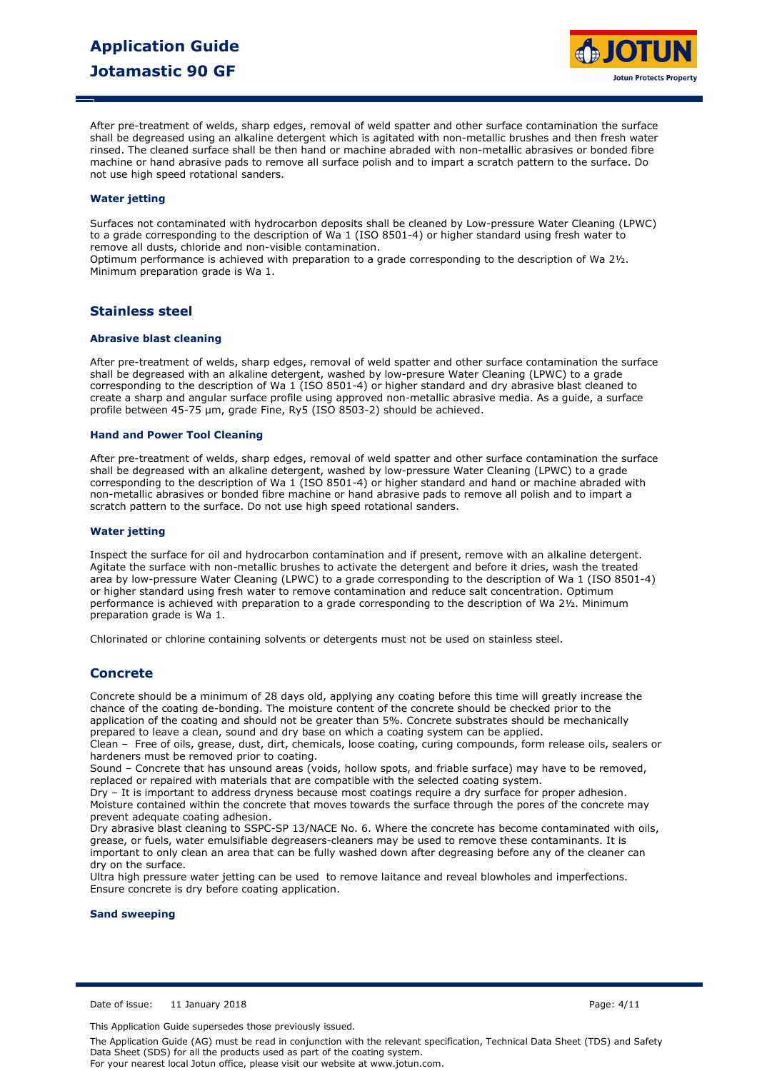

After pre-treatment of welds, sharp edges, removal of weld spatter and other surface contamination the surface shall be degreased using an alkaline detergent which is agitated with non-metallic brushes and then fresh water rinsed. The cleaned surface shall be then hand or machine abraded with non-metallic abrasives or bonded fibre machine or hand abrasive pads to remove all surface polish and to impart a scratch pattern to the surface. Do not use high speed rotational sanders.

#### **Water jetting**

Surfaces not contaminated with hydrocarbon deposits shall be cleaned by Low-pressure Water Cleaning (LPWC) to a grade corresponding to the description of Wa 1 (ISO 8501-4) or higher standard using fresh water to remove all dusts, chloride and non-visible contamination.

Optimum performance is achieved with preparation to a grade corresponding to the description of Wa 2½. Minimum preparation grade is Wa 1.

### **Stainless steel**

#### **Abrasive blast cleaning**

After pre-treatment of welds, sharp edges, removal of weld spatter and other surface contamination the surface shall be degreased with an alkaline detergent, washed by low-presure Water Cleaning (LPWC) to a grade corresponding to the description of Wa 1 (ISO 8501-4) or higher standard and dry abrasive blast cleaned to create a sharp and angular surface profile using approved non-metallic abrasive media. As a guide, a surface profile between 45-75 µm, grade Fine, Ry5 (ISO 8503-2) should be achieved.

#### **Hand and Power Tool Cleaning**

After pre-treatment of welds, sharp edges, removal of weld spatter and other surface contamination the surface shall be degreased with an alkaline detergent, washed by low-pressure Water Cleaning (LPWC) to a grade corresponding to the description of Wa 1 (ISO 8501-4) or higher standard and hand or machine abraded with non-metallic abrasives or bonded fibre machine or hand abrasive pads to remove all polish and to impart a scratch pattern to the surface. Do not use high speed rotational sanders.

#### **Water jetting**

Inspect the surface for oil and hydrocarbon contamination and if present, remove with an alkaline detergent. Agitate the surface with non-metallic brushes to activate the detergent and before it dries, wash the treated area by low-pressure Water Cleaning (LPWC) to a grade corresponding to the description of Wa 1 (ISO 8501-4) or higher standard using fresh water to remove contamination and reduce salt concentration. Optimum performance is achieved with preparation to a grade corresponding to the description of Wa 2½. Minimum preparation grade is Wa 1.

Chlorinated or chlorine containing solvents or detergents must not be used on stainless steel.

### **Concrete**

Concrete should be a minimum of 28 days old, applying any coating before this time will greatly increase the chance of the coating de-bonding. The moisture content of the concrete should be checked prior to the application of the coating and should not be greater than 5%. Concrete substrates should be mechanically prepared to leave a clean, sound and dry base on which a coating system can be applied.

Clean – Free of oils, grease, dust, dirt, chemicals, loose coating, curing compounds, form release oils, sealers or hardeners must be removed prior to coating.

Sound – Concrete that has unsound areas (voids, hollow spots, and friable surface) may have to be removed, replaced or repaired with materials that are compatible with the selected coating system.

Dry – It is important to address dryness because most coatings require a dry surface for proper adhesion. Moisture contained within the concrete that moves towards the surface through the pores of the concrete may prevent adequate coating adhesion.

Dry abrasive blast cleaning to SSPC-SP 13/NACE No. 6. Where the concrete has become contaminated with oils, grease, or fuels, water emulsifiable degreasers-cleaners may be used to remove these contaminants. It is important to only clean an area that can be fully washed down after degreasing before any of the cleaner can dry on the surface.

Ultra high pressure water jetting can be used to remove laitance and reveal blowholes and imperfections. Ensure concrete is dry before coating application.

**Sand sweeping**

Date of issue: 11 January 2018 Page: 4/11

This Application Guide supersedes those previously issued.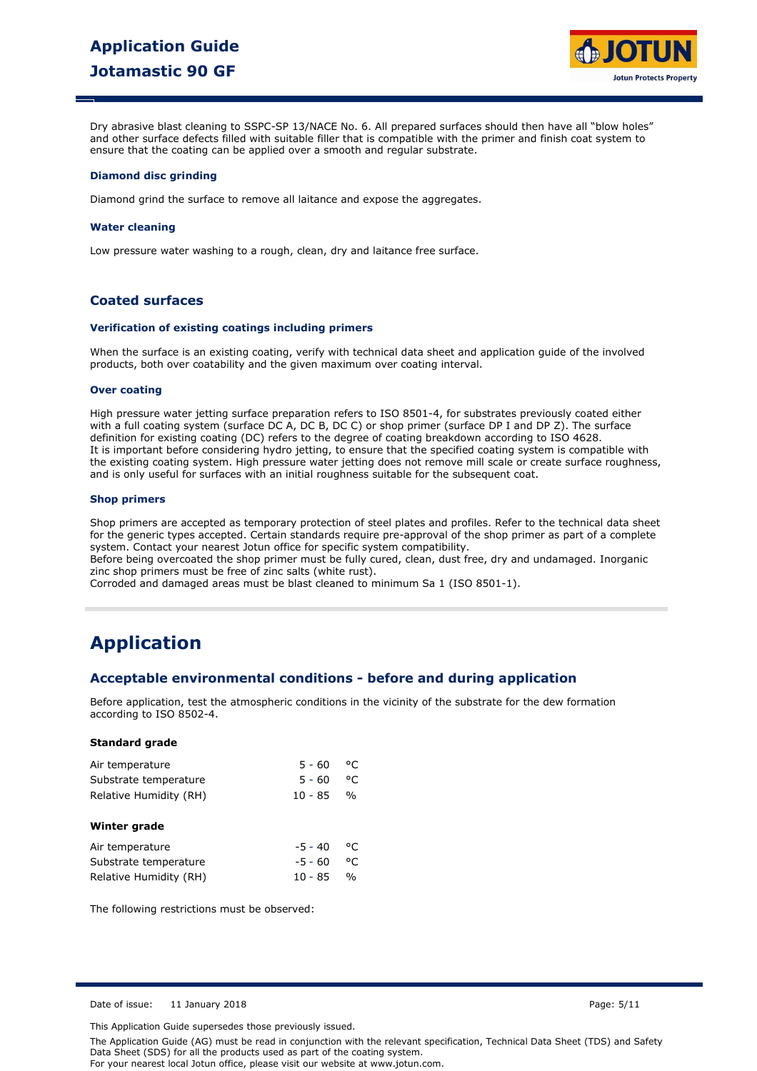

Dry abrasive blast cleaning to SSPC-SP 13/NACE No. 6. All prepared surfaces should then have all "blow holes" and other surface defects filled with suitable filler that is compatible with the primer and finish coat system to ensure that the coating can be applied over a smooth and regular substrate.

#### **Diamond disc grinding**

Diamond grind the surface to remove all laitance and expose the aggregates.

#### **Water cleaning**

Low pressure water washing to a rough, clean, dry and laitance free surface.

## **Coated surfaces**

#### **Verification of existing coatings including primers**

When the surface is an existing coating, verify with technical data sheet and application guide of the involved products, both over coatability and the given maximum over coating interval.

#### **Over coating**

High pressure water jetting surface preparation refers to ISO 8501-4, for substrates previously coated either with a full coating system (surface DC A, DC B, DC C) or shop primer (surface DP I and DP Z). The surface definition for existing coating (DC) refers to the degree of coating breakdown according to ISO 4628. It is important before considering hydro jetting, to ensure that the specified coating system is compatible with the existing coating system. High pressure water jetting does not remove mill scale or create surface roughness, and is only useful for surfaces with an initial roughness suitable for the subsequent coat.

#### **Shop primers**

Shop primers are accepted as temporary protection of steel plates and profiles. Refer to the technical data sheet for the generic types accepted. Certain standards require pre-approval of the shop primer as part of a complete system. Contact your nearest Jotun office for specific system compatibility.

Before being overcoated the shop primer must be fully cured, clean, dust free, dry and undamaged. Inorganic zinc shop primers must be free of zinc salts (white rust).

Corroded and damaged areas must be blast cleaned to minimum Sa 1 (ISO 8501-1).

## **Application**

### **Acceptable environmental conditions - before and during application**

Before application, test the atmospheric conditions in the vicinity of the substrate for the dew formation according to ISO 8502-4.

#### **Standard grade**

| Air temperature        | $5 - 60$  | °C            |  |
|------------------------|-----------|---------------|--|
| Substrate temperature  | $5 - 60$  | °C            |  |
| Relative Humidity (RH) | 10 - 85   | $\frac{1}{2}$ |  |
| Winter grade           |           |               |  |
| Air temperature        | $-5 - 40$ | °C            |  |
| Substrate temperature  | $-5 - 60$ | °C            |  |
| Relative Humidity (RH) | $10 - 85$ | $\frac{0}{0}$ |  |

The following restrictions must be observed:

Date of issue: 11 January 2018 Page: 5/11

This Application Guide supersedes those previously issued.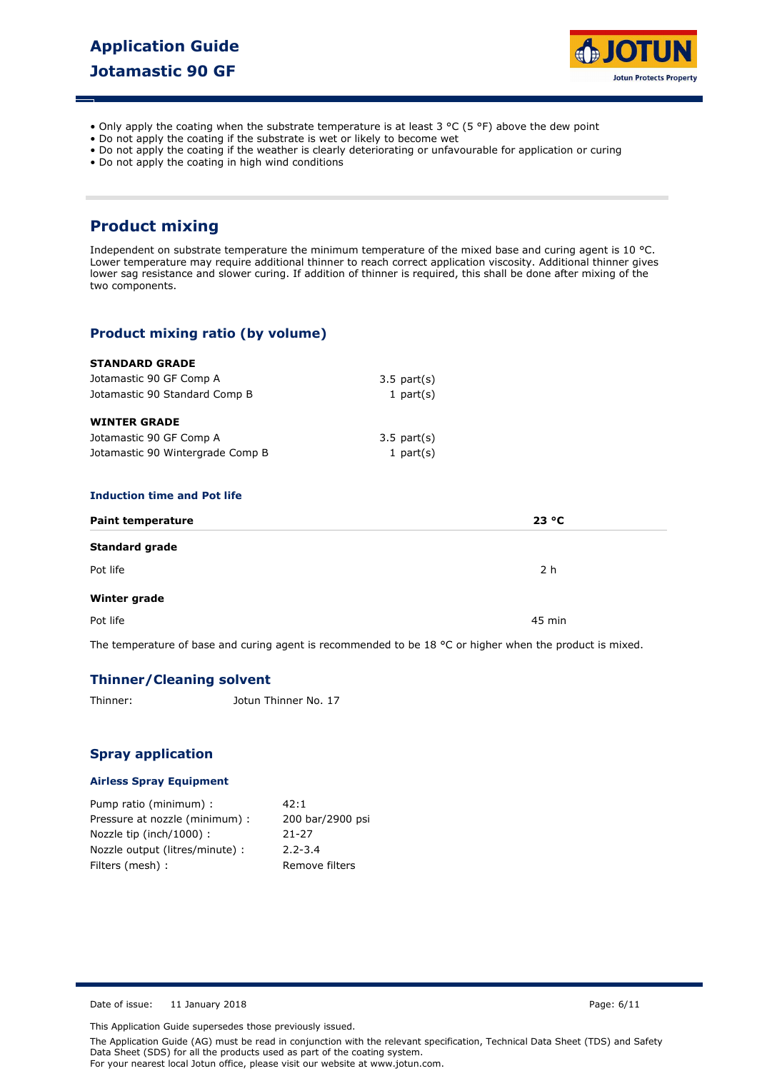

- Only apply the coating when the substrate temperature is at least  $3 \text{ °C}$  (5 °F) above the dew point
- Do not apply the coating if the substrate is wet or likely to become wet
- Do not apply the coating if the weather is clearly deteriorating or unfavourable for application or curing
- Do not apply the coating in high wind conditions

## **Product mixing**

Independent on substrate temperature the minimum temperature of the mixed base and curing agent is 10 °C. Lower temperature may require additional thinner to reach correct application viscosity. Additional thinner gives lower sag resistance and slower curing. If addition of thinner is required, this shall be done after mixing of the two components.

## **Product mixing ratio (by volume)**

| <b>STANDARD GRADE</b>            |                  |  |
|----------------------------------|------------------|--|
| Jotamastic 90 GF Comp A          | $3.5$ part $(s)$ |  |
| Jotamastic 90 Standard Comp B    | 1 part $(s)$     |  |
| <b>WINTER GRADE</b>              |                  |  |
| Jotamastic 90 GF Comp A          | $3.5$ part $(s)$ |  |
| Jotamastic 90 Wintergrade Comp B | 1 part $(s)$     |  |

#### **Induction time and Pot life**

| <b>Paint temperature</b> | 23 °C                                                                                                              |
|--------------------------|--------------------------------------------------------------------------------------------------------------------|
| <b>Standard grade</b>    |                                                                                                                    |
| Pot life                 | 2 h                                                                                                                |
| Winter grade             |                                                                                                                    |
| Pot life                 | 45 min                                                                                                             |
|                          | The temperature of base and curing agent is recommended to be 18 $^{\circ}$ C or higher when the product is mixed. |

## **Thinner/Cleaning solvent**

Thinner: Jotun Thinner No. 17

### **Spray application**

#### **Airless Spray Equipment**

| Pump ratio (minimum) :          | 42:1             |
|---------------------------------|------------------|
| Pressure at nozzle (minimum) :  | 200 bar/2900 psi |
| Nozzle tip (inch/1000):         | $21 - 27$        |
| Nozzle output (litres/minute) : | $2.2 - 3.4$      |
| Filters (mesh) :                | Remove filters   |

Date of issue: 11 January 2018 **Page: 6/11** Page: 6/11

This Application Guide supersedes those previously issued.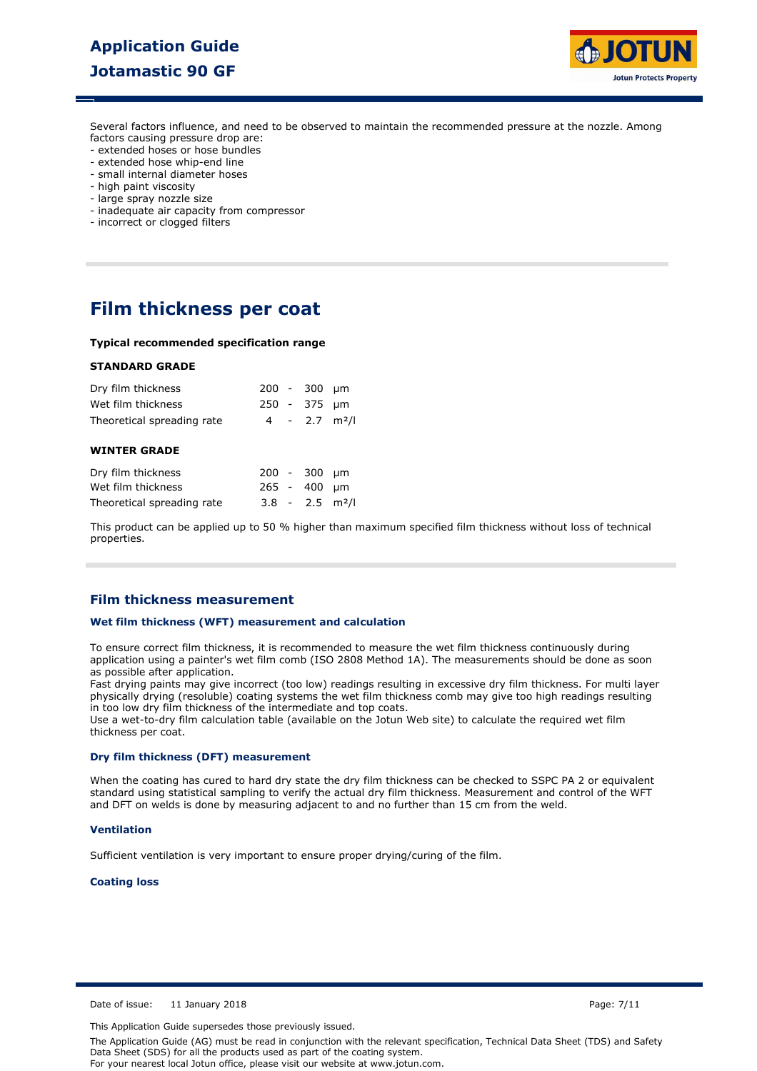## **Application Guide Jotamastic 90 GF**



Several factors influence, and need to be observed to maintain the recommended pressure at the nozzle. Among factors causing pressure drop are:

- extended hoses or hose bundles
- extended hose whip-end line
- small internal diameter hoses
- high paint viscosity
- large spray nozzle size
- inadequate air capacity from compressor
- incorrect or clogged filters

## **Film thickness per coat**

#### **Typical recommended specification range**

#### **STANDARD GRADE**

| Dry film thickness<br>Wet film thickness | $200 - 300$ um<br>250 - 375 µm |      |
|------------------------------------------|--------------------------------|------|
| Theoretical spreading rate               | $4 - 2.7$ m <sup>2</sup> /l    |      |
| <b>WINTER GRADE</b>                      |                                |      |
| Dry film thickness                       | $200 - 300$                    | - um |
| Wet film thickness                       | $265 - 400$                    | um   |
| Theoretical spreading rate               | $3.8 - 2.5$ m <sup>2</sup> /l  |      |

This product can be applied up to 50 % higher than maximum specified film thickness without loss of technical properties.

### **Film thickness measurement**

#### **Wet film thickness (WFT) measurement and calculation**

To ensure correct film thickness, it is recommended to measure the wet film thickness continuously during application using a painter's wet film comb (ISO 2808 Method 1A). The measurements should be done as soon as possible after application.

Fast drying paints may give incorrect (too low) readings resulting in excessive dry film thickness. For multi layer physically drying (resoluble) coating systems the wet film thickness comb may give too high readings resulting in too low dry film thickness of the intermediate and top coats.

Use a wet-to-dry film calculation table (available on the Jotun Web site) to calculate the required wet film thickness per coat.

#### **Dry film thickness (DFT) measurement**

When the coating has cured to hard dry state the dry film thickness can be checked to SSPC PA 2 or equivalent standard using statistical sampling to verify the actual dry film thickness. Measurement and control of the WFT and DFT on welds is done by measuring adjacent to and no further than 15 cm from the weld.

#### **Ventilation**

Sufficient ventilation is very important to ensure proper drying/curing of the film.

#### **Coating loss**

Date of issue: 11 January 2018 Page: 7/11

This Application Guide supersedes those previously issued.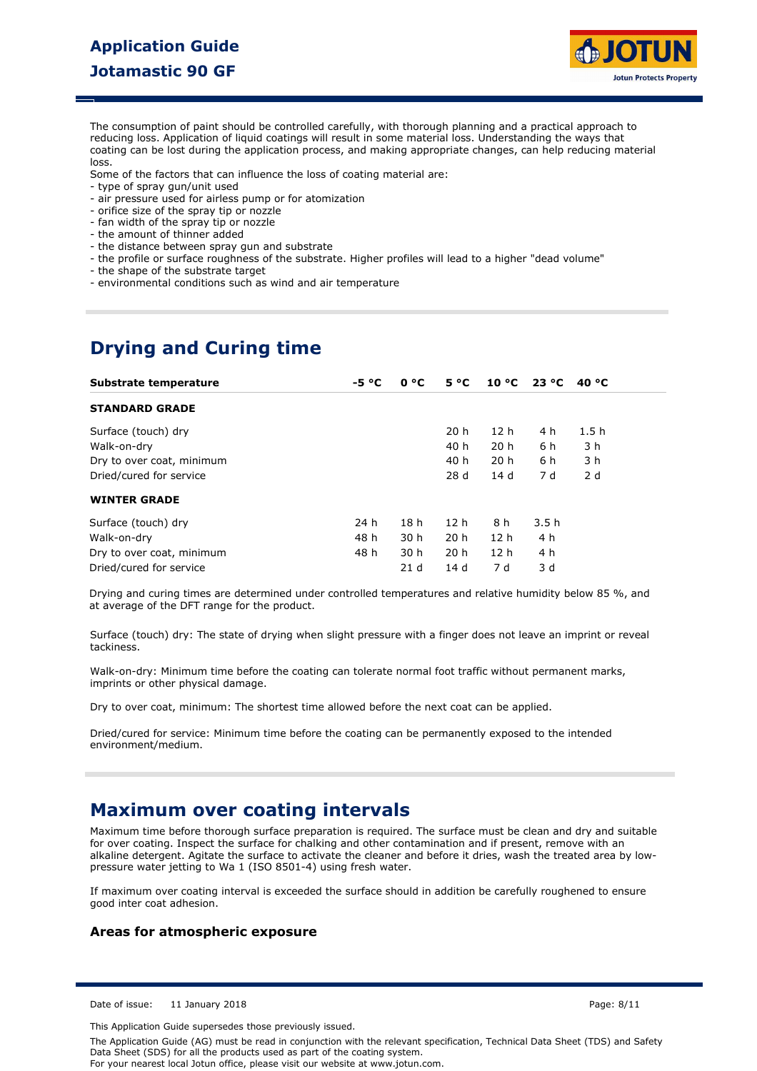## **Application Guide Jotamastic 90 GF**



The consumption of paint should be controlled carefully, with thorough planning and a practical approach to reducing loss. Application of liquid coatings will result in some material loss. Understanding the ways that coating can be lost during the application process, and making appropriate changes, can help reducing material loss.

Some of the factors that can influence the loss of coating material are:

- type of spray gun/unit used
- air pressure used for airless pump or for atomization
- orifice size of the spray tip or nozzle
- fan width of the spray tip or nozzle
- the amount of thinner added
- the distance between spray gun and substrate
- the profile or surface roughness of the substrate. Higher profiles will lead to a higher "dead volume"
- the shape of the substrate target
- environmental conditions such as wind and air temperature

## **Drying and Curing time**

| Substrate temperature     | $-5 °C$ | 0 °C            | $5^{\circ}C$    | $10 °C$ 23 °C   |      | 40 °C |
|---------------------------|---------|-----------------|-----------------|-----------------|------|-------|
| <b>STANDARD GRADE</b>     |         |                 |                 |                 |      |       |
| Surface (touch) dry       |         |                 | 20 h            | 12 <sub>h</sub> | 4 h  | 1.5h  |
| Walk-on-dry               |         |                 | 40 h            | 20 <sub>h</sub> | 6 h  | 3 h   |
| Dry to over coat, minimum |         |                 | 40 h            | 20 <sub>h</sub> | 6 h  | 3 h   |
| Dried/cured for service   |         |                 | 28d             | 14 d            | 7 d  | 2d    |
| <b>WINTER GRADE</b>       |         |                 |                 |                 |      |       |
| Surface (touch) dry       | 24 h    | 18 <sub>h</sub> | 12 <sub>h</sub> | 8 h             | 3.5h |       |
| Walk-on-dry               | 48 h    | 30 h            | 20 <sub>h</sub> | 12 <sub>h</sub> | 4 h  |       |
| Dry to over coat, minimum | 48 h    | 30 h            | 20 <sub>h</sub> | 12 <sub>h</sub> | 4 h  |       |
| Dried/cured for service   |         | 21d             | 14 d            | 7 d             | 3 d  |       |

Drying and curing times are determined under controlled temperatures and relative humidity below 85 %, and at average of the DFT range for the product.

Surface (touch) dry: The state of drying when slight pressure with a finger does not leave an imprint or reveal tackiness.

Walk-on-dry: Minimum time before the coating can tolerate normal foot traffic without permanent marks, imprints or other physical damage.

Dry to over coat, minimum: The shortest time allowed before the next coat can be applied.

Dried/cured for service: Minimum time before the coating can be permanently exposed to the intended environment/medium.

## **Maximum over coating intervals**

Maximum time before thorough surface preparation is required. The surface must be clean and dry and suitable for over coating. Inspect the surface for chalking and other contamination and if present, remove with an alkaline detergent. Agitate the surface to activate the cleaner and before it dries, wash the treated area by lowpressure water jetting to Wa 1 (ISO 8501-4) using fresh water.

If maximum over coating interval is exceeded the surface should in addition be carefully roughened to ensure good inter coat adhesion.

### **Areas for atmospheric exposure**

Date of issue: 11 January 2018 Page: 8/11

This Application Guide supersedes those previously issued.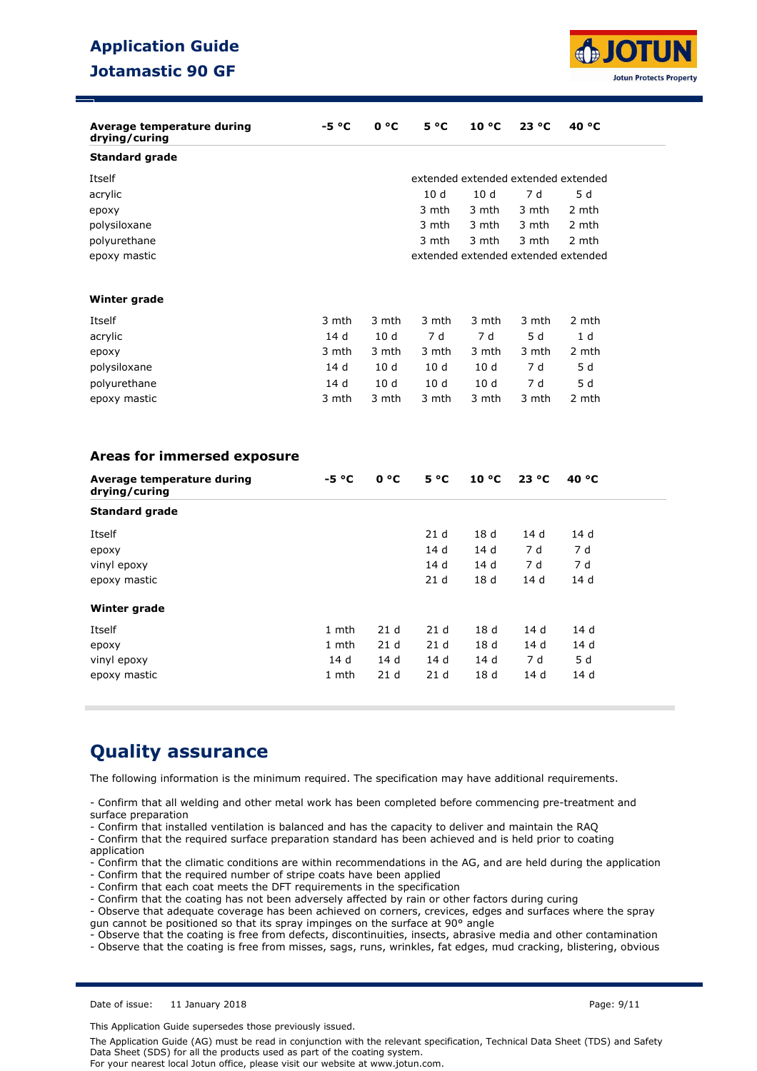## **Application Guide Jotamastic 90 GF**



| Average temperature during<br>drying/curing | -5 °C   | 0 °C            | $5^{\circ}C$                        | $10^{\circ}$ C  | 23 °C | 40 °C          |
|---------------------------------------------|---------|-----------------|-------------------------------------|-----------------|-------|----------------|
| <b>Standard grade</b>                       |         |                 |                                     |                 |       |                |
| Itself                                      |         |                 | extended extended extended extended |                 |       |                |
| acrylic                                     |         |                 | 10 <sub>d</sub>                     | 10d             | 7 d   | 5d             |
| ероху                                       |         |                 | 3 mth                               | 3 mth           | 3 mth | 2 mth          |
| polysiloxane                                |         |                 | 3 mth                               | 3 mth           | 3 mth | 2 mth          |
| polyurethane                                |         |                 | 3 mth                               | 3 mth           | 3 mth | 2 mth          |
| epoxy mastic                                |         |                 | extended extended extended extended |                 |       |                |
| Winter grade                                |         |                 |                                     |                 |       |                |
| Itself                                      | 3 mth   | 3 mth           | 3 mth                               | 3 mth           | 3 mth | 2 mth          |
| acrylic                                     | 14d     | 10d             | 7d                                  | 7 d             | 5d    | 1 <sub>d</sub> |
| epoxy                                       | 3 mth   | 3 mth           | 3 mth                               | 3 mth           | 3 mth | 2 mth          |
| polysiloxane                                | 14 d    | 10d             | 10d                                 | 10d             | 7 d   | 5 d            |
| polyurethane                                | 14d     | 10d             | 10d                                 | 10d             | 7 d   | 5d             |
| epoxy mastic                                | 3 mth   | 3 mth           | 3 mth                               | 3 mth           | 3 mth | 2 mth          |
| Areas for immersed exposure                 |         |                 |                                     |                 |       |                |
| Average temperature during<br>drying/curing | $-5 °C$ | 0 °C            | 5 °C                                | 10 °C           | 23 °C | 40 °C          |
| <b>Standard grade</b>                       |         |                 |                                     |                 |       |                |
| Itself                                      |         |                 | 21 <sub>d</sub>                     | 18 d            | 14 d  | 14 d           |
| ероху                                       |         |                 | 14 d                                | 14 d            | 7 d   | 7 d            |
| vinyl epoxy                                 |         |                 | 14d                                 | 14d             | 7 d   | 7 d            |
| epoxy mastic                                |         |                 | 21 <sub>d</sub>                     | 18 <sub>d</sub> | 14 d  | 14 d           |
| Winter grade                                |         |                 |                                     |                 |       |                |
| Itself                                      | 1 mth   | 21 <sub>d</sub> | 21 <sub>d</sub>                     | 18 <sub>d</sub> | 14 d  | 14d            |
| epoxy                                       | 1 mth   | 21 <sub>d</sub> | 21 <sub>d</sub>                     | 18 <sub>d</sub> | 14 d  | 14 d           |
| vinyl epoxy                                 | 14 d    | 14 d            | 14 d                                | 14 d            | 7 d   | 5d             |
| epoxy mastic                                | 1 mth   | 21 <sub>d</sub> | 21 <sub>d</sub>                     | 18 <sub>d</sub> | 14 d  | 14 d           |

## **Quality assurance**

The following information is the minimum required. The specification may have additional requirements.

- Confirm that all welding and other metal work has been completed before commencing pre-treatment and surface preparation

- Confirm that installed ventilation is balanced and has the capacity to deliver and maintain the RAQ

- Confirm that the required surface preparation standard has been achieved and is held prior to coating application

- Confirm that the climatic conditions are within recommendations in the AG, and are held during the application

- Confirm that the required number of stripe coats have been applied

- Confirm that each coat meets the DFT requirements in the specification

- Confirm that the coating has not been adversely affected by rain or other factors during curing

- Observe that adequate coverage has been achieved on corners, crevices, edges and surfaces where the spray gun cannot be positioned so that its spray impinges on the surface at 90° angle

- Observe that the coating is free from defects, discontinuities, insects, abrasive media and other contamination

- Observe that the coating is free from misses, sags, runs, wrinkles, fat edges, mud cracking, blistering, obvious

Date of issue: 11 January 2018 **Page: 9/11** Page: 9/11

This Application Guide supersedes those previously issued.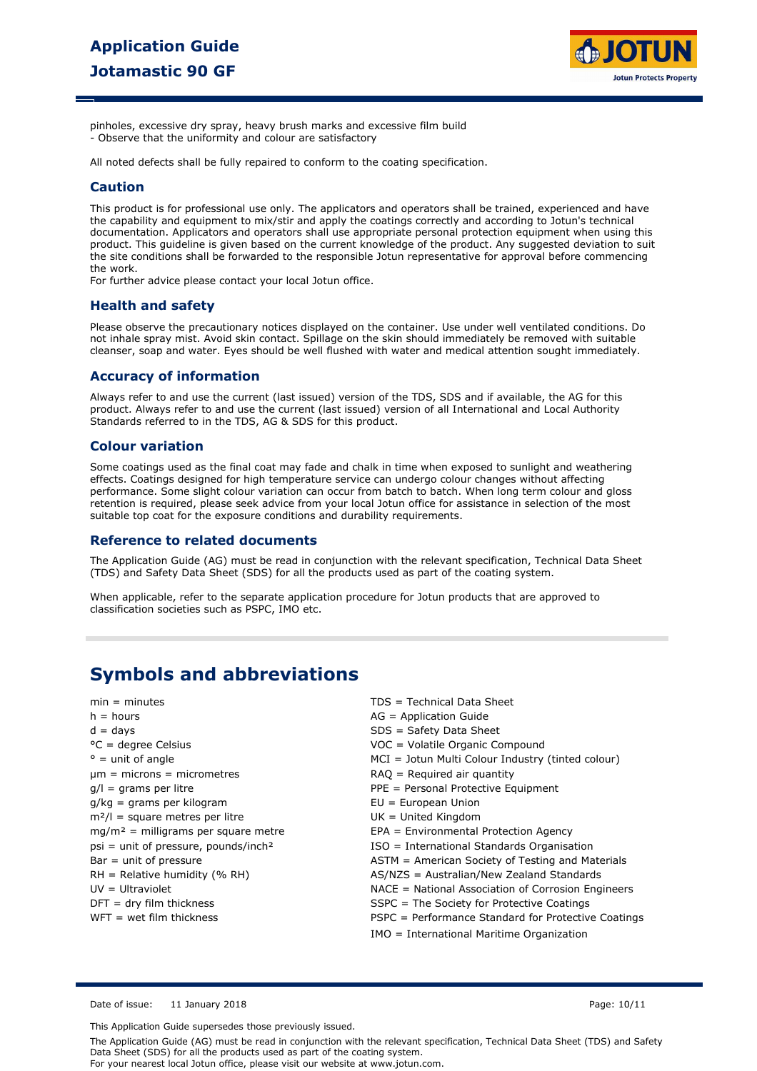

pinholes, excessive dry spray, heavy brush marks and excessive film build - Observe that the uniformity and colour are satisfactory

All noted defects shall be fully repaired to conform to the coating specification.

### **Caution**

This product is for professional use only. The applicators and operators shall be trained, experienced and have the capability and equipment to mix/stir and apply the coatings correctly and according to Jotun's technical documentation. Applicators and operators shall use appropriate personal protection equipment when using this product. This guideline is given based on the current knowledge of the product. Any suggested deviation to suit the site conditions shall be forwarded to the responsible Jotun representative for approval before commencing the work.

For further advice please contact your local Jotun office.

### **Health and safety**

Please observe the precautionary notices displayed on the container. Use under well ventilated conditions. Do not inhale spray mist. Avoid skin contact. Spillage on the skin should immediately be removed with suitable cleanser, soap and water. Eyes should be well flushed with water and medical attention sought immediately.

### **Accuracy of information**

Always refer to and use the current (last issued) version of the TDS, SDS and if available, the AG for this product. Always refer to and use the current (last issued) version of all International and Local Authority Standards referred to in the TDS, AG & SDS for this product.

#### **Colour variation**

Some coatings used as the final coat may fade and chalk in time when exposed to sunlight and weathering effects. Coatings designed for high temperature service can undergo colour changes without affecting performance. Some slight colour variation can occur from batch to batch. When long term colour and gloss retention is required, please seek advice from your local Jotun office for assistance in selection of the most suitable top coat for the exposure conditions and durability requirements.

#### **Reference to related documents**

The Application Guide (AG) must be read in conjunction with the relevant specification, Technical Data Sheet (TDS) and Safety Data Sheet (SDS) for all the products used as part of the coating system.

When applicable, refer to the separate application procedure for Jotun products that are approved to classification societies such as PSPC, IMO etc.

## **Symbols and abbreviations**

| $min = minutes$                        | TDS = Technical Data Sheet                          |
|----------------------------------------|-----------------------------------------------------|
| $h = hours$                            | $AG = Application Guide$                            |
| $d = days$                             | $SDS = Safety Data Sheet$                           |
| $^{\circ}$ C = degree Celsius          | VOC = Volatile Organic Compound                     |
| $\degree$ = unit of angle              | MCI = Jotun Multi Colour Industry (tinted colour)   |
| $\mu$ m = microns = micrometres        | $RAO = Required air quantity$                       |
| $q/l =$ grams per litre                | $PPE = Personal$ Personal Protective Equipment      |
| $q/kg =$ grams per kilogram            | $EU = European Union$                               |
| $m^2/l$ = square metres per litre      | $UK = United Kingdom$                               |
| $mg/m2$ = milligrams per square metre  | EPA = Environmental Protection Agency               |
| $psi = unit of pressure, pounds/inch2$ | ISO = International Standards Organisation          |
| $Bar = unit of pressure$               | ASTM = American Society of Testing and Materials    |
| $RH = Relative$ humidity (% RH)        | AS/NZS = Australian/New Zealand Standards           |
| $UV = Ultraviolet$                     | NACE = National Association of Corrosion Engineers  |
| $DFT = dry film thickness$             | $SSPC = The Society for Practice Coatings$          |
| $WFT = wet film thickness$             | PSPC = Performance Standard for Protective Coatings |
|                                        | IMO = International Maritime Organization           |

Date of issue: 11 January 2018 Page: 10/11

This Application Guide supersedes those previously issued.